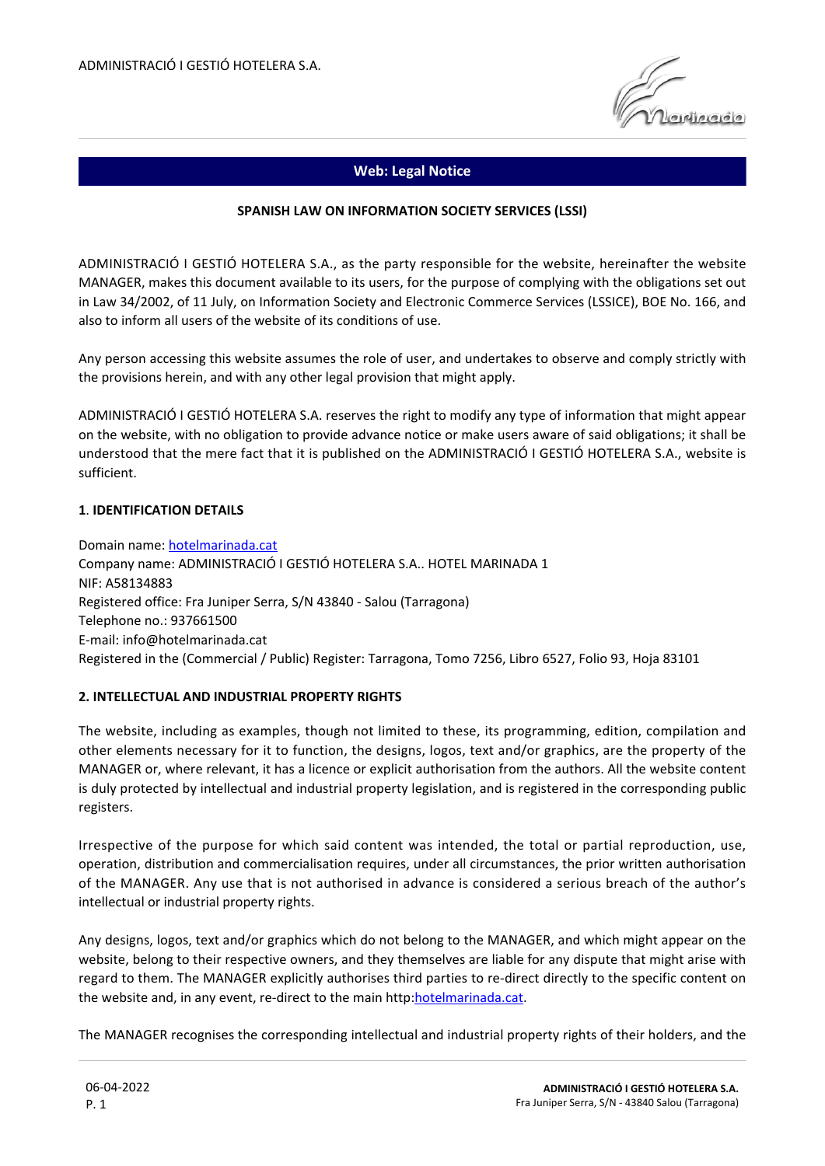

# **Web: Legal Notice**

### **SPANISH LAW ON INFORMATION SOCIETY SERVICES (LSSI)**

ADMINISTRACIÓ I GESTIÓ HOTELERA S.A., as the party responsible for the website, hereinafter the website MANAGER, makes this document available to its users, for the purpose of complying with the obligations set out in Law 34/2002, of 11 July, on Information Society and Electronic Commerce Services (LSSICE), BOE No. 166, and also to inform all users of the website of its conditions of use.

Any person accessing this website assumes the role of user, and undertakes to observe and comply strictly with the provisions herein, and with any other legal provision that might apply.

ADMINISTRACIÓ I GESTIÓ HOTELERA S.A. reserves the right to modify any type of information that might appear on the website, with no obligation to provide advance notice or make users aware of said obligations; it shall be understood that the mere fact that it is published on the ADMINISTRACIÓ I GESTIÓ HOTELERA S.A., website is sufficient.

### **1**. **IDENTIFICATION DETAILS**

Domain name: [hotelmarinada.cat](http://hotelmarinada.cat) Company name: ADMINISTRACIÓ I GESTIÓ HOTELERA S.A.. HOTEL MARINADA 1 NIF: A58134883 Registered office: Fra Juniper Serra, S/N 43840 - Salou (Tarragona) Telephone no.: 937661500 E-mail: info@hotelmarinada.cat Registered in the (Commercial / Public) Register: Tarragona, Tomo 7256, Libro 6527, Folio 93, Hoja 83101

### **2. INTELLECTUAL AND INDUSTRIAL PROPERTY RIGHTS**

The website, including as examples, though not limited to these, its programming, edition, compilation and other elements necessary for it to function, the designs, logos, text and/or graphics, are the property of the MANAGER or, where relevant, it has a licence or explicit authorisation from the authors. All the website content is duly protected by intellectual and industrial property legislation, and is registered in the corresponding public registers.

Irrespective of the purpose for which said content was intended, the total or partial reproduction, use, operation, distribution and commercialisation requires, under all circumstances, the prior written authorisation of the MANAGER. Any use that is not authorised in advance is considered a serious breach of the author's intellectual or industrial property rights.

Any designs, logos, text and/or graphics which do not belong to the MANAGER, and which might appear on the website, belong to their respective owners, and they themselves are liable for any dispute that might arise with regard to them. The MANAGER explicitly authorises third parties to re-direct directly to the specific content on the website and, in any event, re-direct to the main http[:hotelmarinada.cat.](http://hotelmarinada.cat)

The MANAGER recognises the corresponding intellectual and industrial property rights of their holders, and the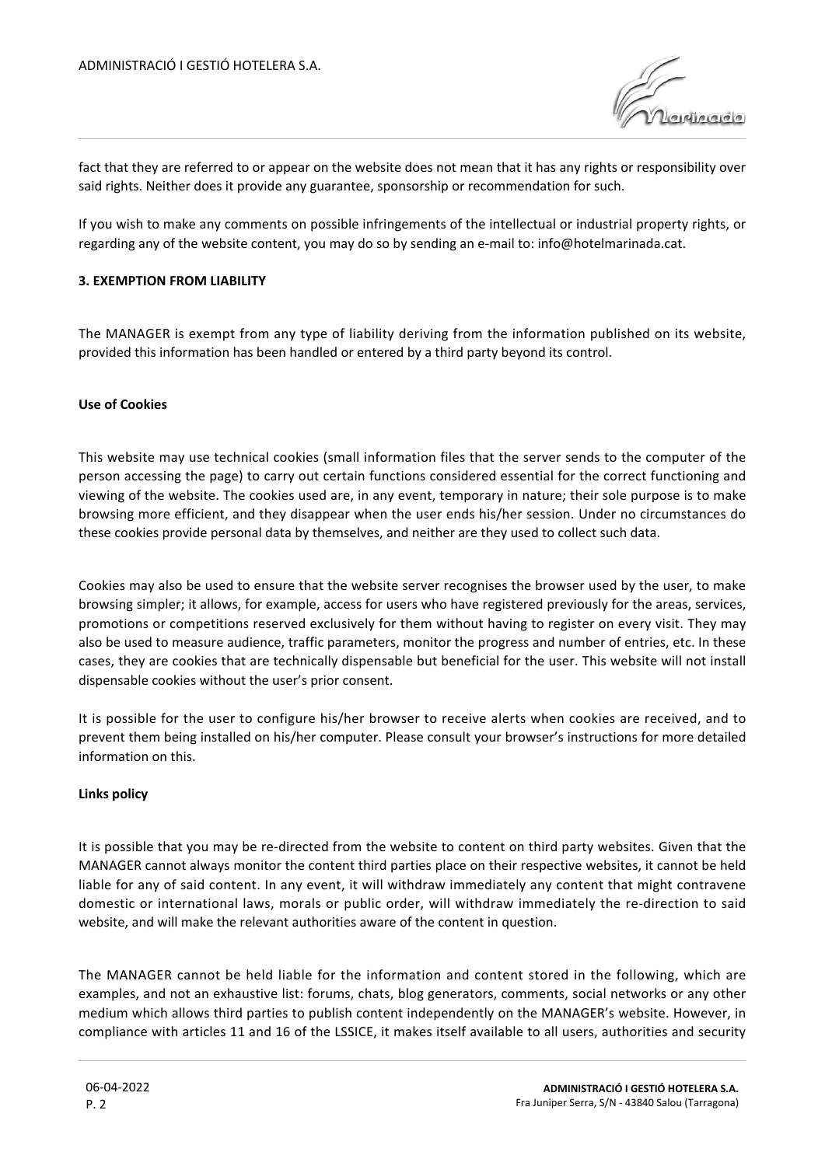

fact that they are referred to or appear on the website does not mean that it has any rights or responsibility over said rights. Neither does it provide any guarantee, sponsorship or recommendation for such.

If you wish to make any comments on possible infringements of the intellectual or industrial property rights, or regarding any of the website content, you may do so by sending an e-mail to: info@hotelmarinada.cat.

## **3. EXEMPTION FROM LIABILITY**

The MANAGER is exempt from any type of liability deriving from the information published on its website, provided this information has been handled or entered by a third party beyond its control.

## **Use of Cookies**

This website may use technical cookies (small information files that the server sends to the computer of the person accessing the page) to carry out certain functions considered essential for the correct functioning and viewing of the website. The cookies used are, in any event, temporary in nature; their sole purpose is to make browsing more efficient, and they disappear when the user ends his/her session. Under no circumstances do these cookies provide personal data by themselves, and neither are they used to collect such data.

Cookies may also be used to ensure that the website server recognises the browser used by the user, to make browsing simpler; it allows, for example, access for users who have registered previously for the areas, services, promotions or competitions reserved exclusively for them without having to register on every visit. They may also be used to measure audience, traffic parameters, monitor the progress and number of entries, etc. In these cases, they are cookies that are technically dispensable but beneficial for the user. This website will not install dispensable cookies without the user's prior consent.

It is possible for the user to configure his/her browser to receive alerts when cookies are received, and to prevent them being installed on his/her computer. Please consult your browser's instructions for more detailed information on this.

### **Links policy**

It is possible that you may be re-directed from the website to content on third party websites. Given that the MANAGER cannot always monitor the content third parties place on their respective websites, it cannot be held liable for any of said content. In any event, it will withdraw immediately any content that might contravene domestic or international laws, morals or public order, will withdraw immediately the re-direction to said website, and will make the relevant authorities aware of the content in question.

The MANAGER cannot be held liable for the information and content stored in the following, which are examples, and not an exhaustive list: forums, chats, blog generators, comments, social networks or any other medium which allows third parties to publish content independently on the MANAGER's website. However, in compliance with articles 11 and 16 of the LSSICE, it makes itself available to all users, authorities and security